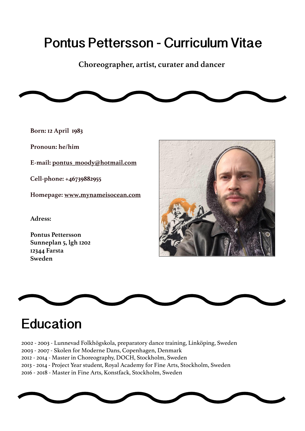# **Pontus Pettersson - Curriculum Vitae**

**Choreographer, artist, curater and dancer**



**Born: 12 April 1983** 

**Pronoun: he/him**

**E-mail: [pontus\\_moody@hotmail.com](mailto:pontus_moody%40hotmail.com?subject=Hello%20Pontus)**

**Cell-phone: +46739882955**

**[H](http://www.mynameisocean.com)omepage: [www.mynameisocean.com](http://www.mynameisocean.com)**

**[Adress:](http://www.mynameisocean.com)**

**[Pontus Pettersson](http://www.mynameisocean.com) [Sunneplan 5, lgh 1202](http://www.mynameisocean.com) [12344 Farsta](http://www.mynameisocean.com) [Sweden](http://www.mynameisocean.com)**





## **Education**

2002 - 2003 - Lunnevad Folkhögskola, preparatory dance training, Linköping, Sweden 2003 - 2007 - Skolen for Moderne Dans, Copenhagen, Denmark 2012 - 2014 - Master in Choreography, DOCH, Stockholm, Sweden 2013 - 2014 - Project Year student, Royal Academy for Fine Arts, Stockholm, Sweden 2016 - 2018 - Master in Fine Arts, Konstfack, Stockholm, Sweden

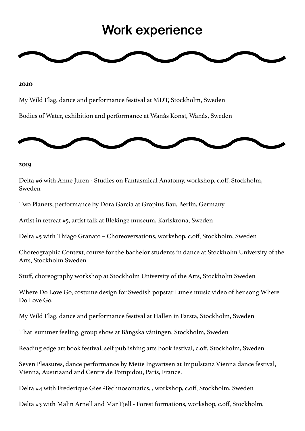## **Work experience**



#### **2020**

My Wild Flag, dance and performance festival at MDT, Stockholm, Sweden

Bodies of Water, exhibition and performance at Wanås Konst, Wanås, Sweden



#### **2019**

Delta #6 with Anne Juren - Studies on Fantasmical Anatomy, workshop, c.off, Stockholm, Sweden

Two Planets, performance by Dora Garcia at Gropius Bau, Berlin, Germany

Artist in retreat #5, artist talk at Blekinge museum, Karlskrona, Sweden

Delta #5 with Thiago Granato – Choreoversations, workshop, c.off, Stockholm, Sweden

Choreographic Context, course for the bachelor students in dance at Stockholm University of the Arts, Stockholm Sweden

Stuff, choreography workshop at Stockholm University of the Arts, Stockholm Sweden

Where Do Love Go, costume design for Swedish popstar Lune's music video of her song Where Do Love Go.

My Wild Flag, dance and performance festival at Hallen in Farsta, Stockholm, Sweden

That summer feeling, group show at Bångska våningen, Stockholm, Sweden

Reading edge art book festival, self publishing arts book festival, c.off, Stockholm, Sweden

Seven Pleasures, dance performance by Mette Ingvartsen at Impulstanz Vienna dance festival, Vienna, Austriaand and Centre de Pompidou, Paris, France.

Delta #4 with Frederique Gies -Technosomatics, , workshop, c.off, Stockholm, Sweden

Delta #3 with Malin Arnell and Mar Fjell - Forest formations, workshop, c.off, Stockholm,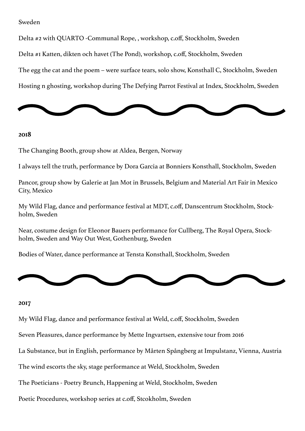#### Sweden

Delta #2 with QUARTO -Communal Rope, , workshop, c.off, Stockholm, Sweden

Delta #1 Katten, dikten och havet (The Pond), workshop, c.off, Stockholm, Sweden

The egg the cat and the poem – were surface tears, solo show, Konsthall C, Stockholm, Sweden

Hosting n ghosting, workshop during The Defying Parrot Festival at Index, Stockholm, Sweden



#### **2018**

The Changing Booth, group show at Aldea, Bergen, Norway

I always tell the truth, performance by Dora Garcia at Bonniers Konsthall, Stockholm, Sweden

Pancor, group show by Galerie at Jan Mot in Brussels, Belgium and Material Art Fair in Mexico City, Mexico

My Wild Flag, dance and performance festival at MDT, c.off, Danscentrum Stockholm, Stockholm, Sweden

Near, costume design for Eleonor Bauers performance for Cullberg, The Royal Opera, Stockholm, Sweden and Way Out West, Gothenburg, Sweden

Bodies of Water, dance performance at Tensta Konsthall, Stockholm, Sweden



#### **2017**

My Wild Flag, dance and performance festival at Weld, c.off, Stockholm, Sweden

Seven Pleasures, dance performance by Mette Ingvartsen, extensive tour from 2016

La Substance, but in English, performance by Mårten Spångberg at Impulstanz, Vienna, Austria

The wind escorts the sky, stage performance at Weld, Stockholm, Sweden

The Poeticians - Poetry Brunch, Happening at Weld, Stockholm, Sweden

Poetic Procedures, workshop series at c.off, Stcokholm, Sweden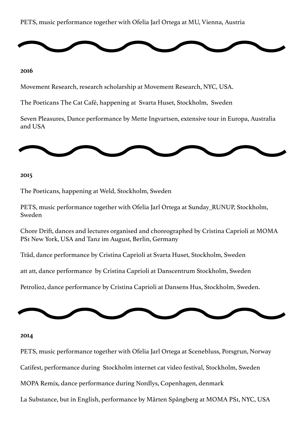### PETS, music performance together with Ofelia Jarl Ortega at MU, Vienna, Austria



#### **2016**

Movement Research, research scholarship at Movement Research, NYC, USA.

The Poeticans The Cat Café, happening at Svarta Huset, Stockholm, Sweden

Seven Pleasures, Dance performance by Mette Ingvartsen, extensive tour in Europa, Australia and USA



#### **2015**

The Poeticans, happening at Weld, Stockholm, Sweden

PETS, music performance together with Ofelia Jarl Ortega at Sunday\_RUNUP, Stockholm, Sweden

Chore Drift, dances and lectures organised and choreographed by Cristina Caprioli at MOMA PS1 New York, USA and Tanz im August, Berlin, Germany

Träd, dance performance by Cristina Caprioli at Svarta Huset, Stockholm, Sweden

att att, dance performance by Cristina Caprioli at Danscentrum Stockholm, Sweden

Petrolio2, dance performance by Cristina Caprioli at Dansens Hus, Stockholm, Sweden.



#### **2014**

PETS, music performance together with Ofelia Jarl Ortega at Scenebluss, Porsgrun, Norway

Catifest, performance during Stockholm internet cat video festival, Stockholm, Sweden

MOPA Remix, dance performance during Nordlys, Copenhagen, denmark

La Substance, but in English, performance by Mårten Spångberg at MOMA PS1, NYC, USA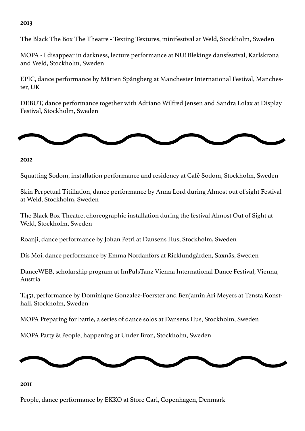## **2013**

The Black The Box The Theatre - Texting Textures, minifestival at Weld, Stockholm, Sweden

MOPA - I disappear in darkness, lecture performance at NU! Blekinge dansfestival, Karlskrona and Weld, Stockholm, Sweden

EPIC, dance performance by Mårten Spångberg at Manchester International Festival, Manchester, UK

DEBUT, dance performance together with Adriano Wilfred Jensen and Sandra Lolax at Display Festival, Stockholm, Sweden



**2012**

Squatting Sodom, installation performance and residency at Café Sodom, Stockholm, Sweden

Skin Perpetual Titillation, dance performance by Anna Lord during Almost out of sight Festival at Weld, Stockholm, Sweden

The Black Box Theatre, choreographic installation during the festival Almost Out of Sight at Weld, Stockholm, Sweden

Roanji, dance performance by Johan Petri at Dansens Hus, Stockholm, Sweden

Dis Moi, dance performance by Emma Nordanfors at Ricklundgården, Saxnäs, Sweden

DanceWEB, scholarship program at ImPulsTanz Vienna International Dance Festival, Vienna, Austria

T.451, performance by Dominique Gonzalez-Foerster and Benjamin Ari Meyers at Tensta Konsthall, Stockholm, Sweden

MOPA Preparing for battle, a series of dance solos at Dansens Hus, Stockholm, Sweden

MOPA Party & People, happening at Under Bron, Stockholm, Sweden



#### **2011**

People, dance performance by EKKO at Store Carl, Copenhagen, Denmark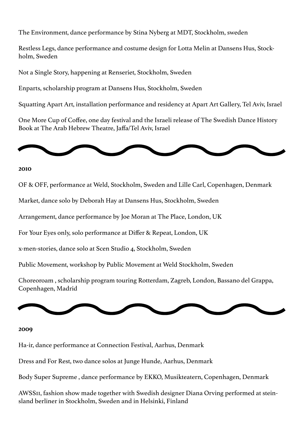The Environment, dance performance by Stina Nyberg at MDT, Stockholm, sweden

Restless Legs, dance performance and costume design for Lotta Melin at Dansens Hus, Stockholm, Sweden

Not a Single Story, happening at Renseriet, Stockholm, Sweden

Enparts, scholarship program at Dansens Hus, Stockholm, Sweden

Squatting Apart Art, installation performance and residency at Apart Art Gallery, Tel Aviv, Israel

One More Cup of Coffee, one day festival and the Israeli release of The Swedish Dance History Book at The Arab Hebrew Theatre, Jaffa/Tel Aviv, Israel



#### **2010**

OF & OFF, performance at Weld, Stockholm, Sweden and Lille Carl, Copenhagen, Denmark

Market, dance solo by Deborah Hay at Dansens Hus, Stockholm, Sweden

Arrangement, dance performance by Joe Moran at The Place, London, UK

For Your Eyes only, solo performance at Differ & Repeat, London, UK

x-men-stories, dance solo at Scen Studio 4, Stockholm, Sweden

Public Movement, workshop by Public Movement at Weld Stockholm, Sweden

Choreoroam , scholarship program touring Rotterdam, Zagreb, London, Bassano del Grappa, Copenhagen, Madrid



#### **2009**

Ha-ir, dance performance at Connection Festival, Aarhus, Denmark

Dress and For Rest, two dance solos at Junge Hunde, Aarhus, Denmark

Body Super Supreme , dance performance by EKKO, Musikteatern, Copenhagen, Denmark

AWSS11, fashion show made together with Swedish designer Diana Orving performed at steinsland berliner in Stockholm, Sweden and in Helsinki, Finland